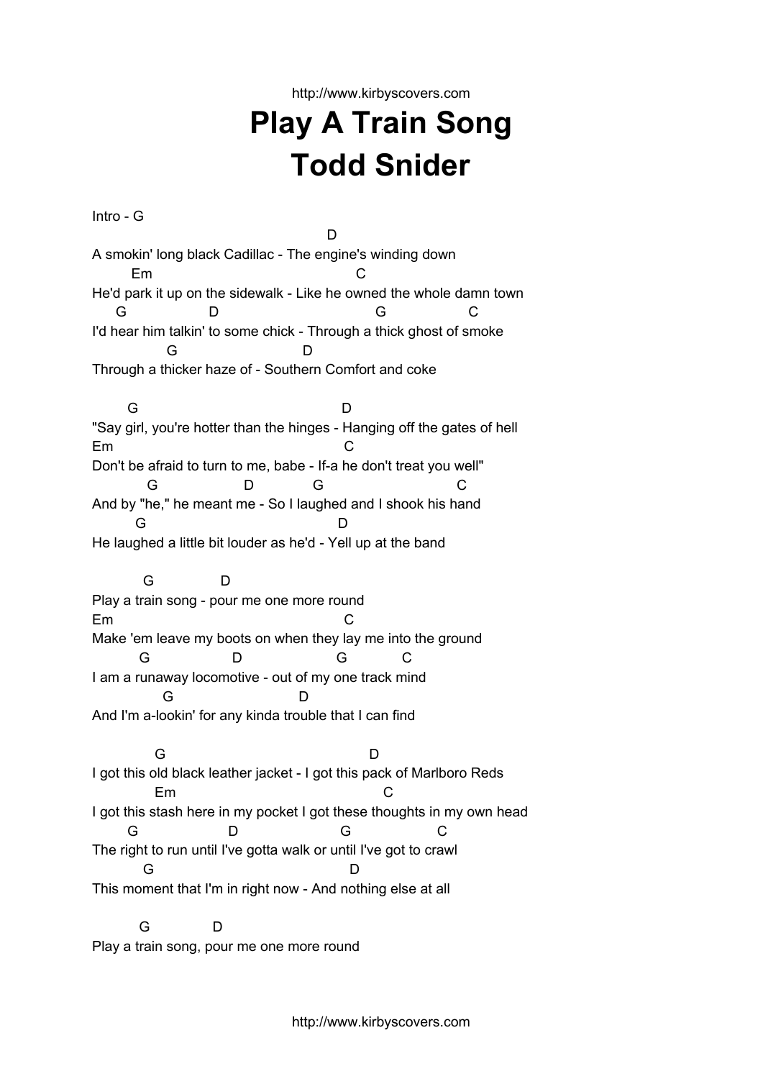http://www.kirbyscovers.com

## **Play A Train Song Todd Snider**

Intro - G D A smokin' long black Cadillac - The engine's winding down Em C He'd park it up on the sidewalk - Like he owned the whole damn town G D G C I'd hear him talkin' to some chick - Through a thick ghost of smoke G D Through a thicker haze of - Southern Comfort and coke G D "Say girl, you're hotter than the hinges - Hanging off the gates of hell Em C Don't be afraid to turn to me, babe - If-a he don't treat you well" G D G C And by "he," he meant me - So I laughed and I shook his hand G D He laughed a little bit louder as he'd - Yell up at the band G D Play a train song - pour me one more round Em C Make 'em leave my boots on when they lay me into the ground G D G C I am a runaway locomotive - out of my one track mind G D And I'm a-lookin' for any kinda trouble that I can find G D I got this old black leather jacket - I got this pack of Marlboro Reds Em C I got this stash here in my pocket I got these thoughts in my own head G D G C The right to run until I've gotta walk or until I've got to crawl G D This moment that I'm in right now - And nothing else at all G D

Play a train song, pour me one more round